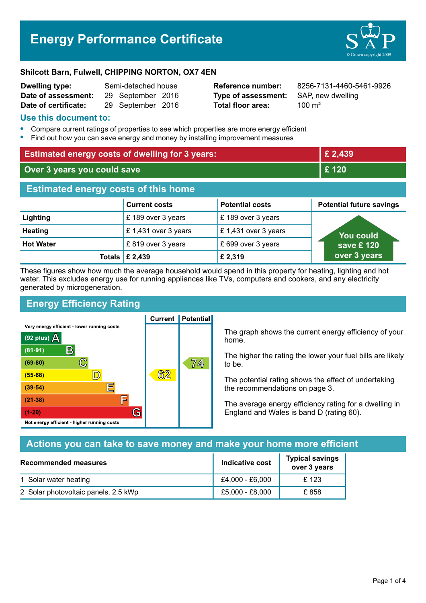# **Energy Performance Certificate**



#### **Shilcott Barn, Fulwell, CHIPPING NORTON, OX7 4EN**

| <b>Dwelling type:</b> | Semi-detached house |                   |  |
|-----------------------|---------------------|-------------------|--|
| Date of assessment:   |                     | 29 September 2016 |  |
| Date of certificate:  |                     | 29 September 2016 |  |

**Type of assessment:** SAP, new dwelling **Total floor area:** 200 m<sup>2</sup>

**Reference number:** 8256-7131-4460-5461-9926

#### **Use this document to:**

- **•** Compare current ratings of properties to see which properties are more energy efficient
- **•** Find out how you can save energy and money by installing improvement measures

| <b>Estimated energy costs of dwelling for 3 years:</b> |                           | £ 2,439                |                                 |
|--------------------------------------------------------|---------------------------|------------------------|---------------------------------|
| Over 3 years you could save                            |                           | £ 120                  |                                 |
| <b>Estimated energy costs of this home</b>             |                           |                        |                                 |
|                                                        | <b>Current costs</b>      | <b>Potential costs</b> | <b>Potential future savings</b> |
| Lighting                                               | £189 over 3 years         | £ 189 over 3 years     |                                 |
| <b>Heating</b>                                         | £1,431 over 3 years       | £1,431 over 3 years    | You could                       |
| <b>Hot Water</b>                                       | £819 over 3 years         | £ 699 over 3 years     | save £120                       |
|                                                        | Totals $\mathsf{E}$ 2,439 | £ 2,319                | over 3 years                    |

These figures show how much the average household would spend in this property for heating, lighting and hot water. This excludes energy use for running appliances like TVs, computers and cookers, and any electricity generated by microgeneration.

**Current | Potential** 

# **Energy Efficiency Rating**

Very energy efficient - lower running costs



The graph shows the current energy efficiency of your home.

The higher the rating the lower your fuel bills are likely to be.

The potential rating shows the effect of undertaking the recommendations on page 3.

The average energy efficiency rating for a dwelling in England and Wales is band D (rating 60).

## **Actions you can take to save money and make your home more efficient**

| Recommended measures                 | Indicative cost | <b>Typical savings</b><br>over 3 years |
|--------------------------------------|-----------------|----------------------------------------|
| 1 Solar water heating                | £4,000 - £6,000 | £123                                   |
| 2 Solar photovoltaic panels, 2.5 kWp | £5,000 - £8,000 | £858                                   |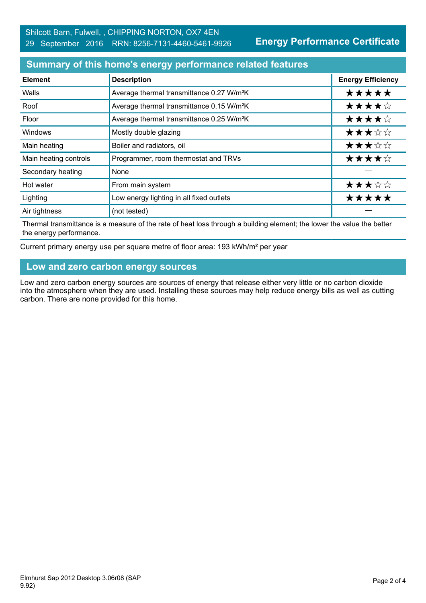**Energy Performance Certificate**

#### **Summary of this home's energy performance related features**

| <b>Element</b>        | <b>Description</b>                                    | <b>Energy Efficiency</b> |
|-----------------------|-------------------------------------------------------|--------------------------|
| Walls                 | Average thermal transmittance 0.27 W/m <sup>2</sup> K | *****                    |
| Roof                  | Average thermal transmittance 0.15 W/m <sup>2</sup> K | ★★★★☆                    |
| Floor                 | Average thermal transmittance 0.25 W/m <sup>2</sup> K | ★★★★☆                    |
| <b>Windows</b>        | Mostly double glazing                                 | ★★★☆☆                    |
| Main heating          | Boiler and radiators, oil                             | ★★★☆☆                    |
| Main heating controls | Programmer, room thermostat and TRVs                  | ★★★★☆                    |
| Secondary heating     | None                                                  |                          |
| Hot water             | From main system                                      | ★★★☆☆                    |
| Lighting              | Low energy lighting in all fixed outlets              | *****                    |
| Air tightness         | (not tested)                                          |                          |

Thermal transmittance is a measure of the rate of heat loss through a building element; the lower the value the better the energy performance.

Current primary energy use per square metre of floor area: 193 kWh/m² per year

#### **Low and zero carbon energy sources**

Low and zero carbon energy sources are sources of energy that release either very little or no carbon dioxide into the atmosphere when they are used. Installing these sources may help reduce energy bills as well as cutting carbon. There are none provided for this home.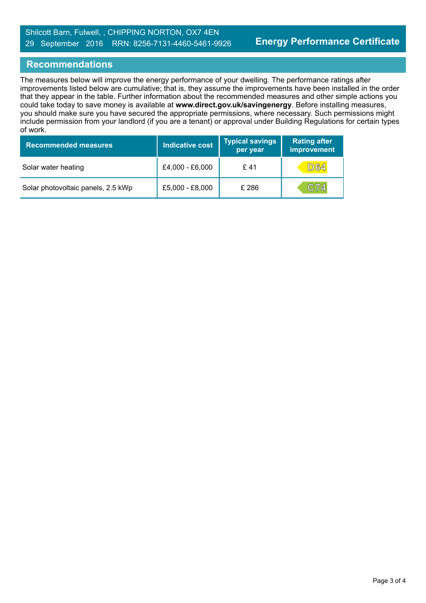### **Recommendations**

The measures below will improve the energy performance of your dwelling. The performance ratings after improvements listed below are cumulative; that is, they assume the improvements have been installed in the order that they appear in the table. Further information about the recommended measures and other simple actions you could take today to save money is available at **www.direct.gov.uk/savingenergy**. Before installing measures, you should make sure you have secured the appropriate permissions, where necessary. Such permissions might include permission from your landlord (if you are a tenant) or approval under Building Regulations for certain types of work.

| <b>Recommended measures</b>        | <b>Indicative cost</b> | <b>Typical savings</b><br>per year | <b>Rating after</b><br>improvement |
|------------------------------------|------------------------|------------------------------------|------------------------------------|
| Solar water heating                | £4,000 - £6,000        | £41                                | <b>D64</b>                         |
| Solar photovoltaic panels, 2.5 kWp | £5,000 - £8,000        | £ 286                              | C74                                |